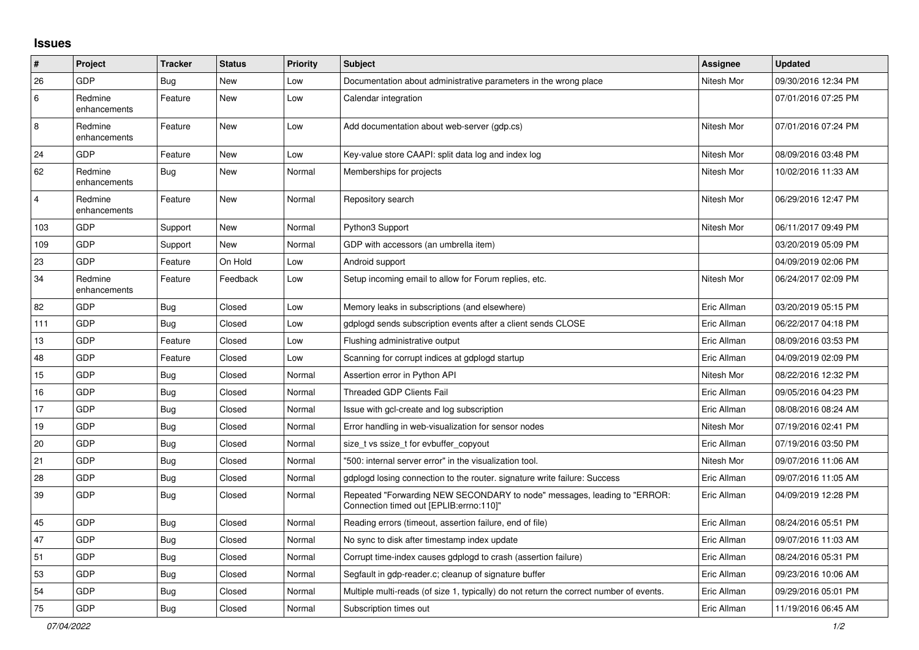## **Issues**

| #              | Project                 | <b>Tracker</b> | <b>Status</b> | <b>Priority</b> | <b>Subject</b>                                                                                                      | Assignee    | <b>Updated</b>      |
|----------------|-------------------------|----------------|---------------|-----------------|---------------------------------------------------------------------------------------------------------------------|-------------|---------------------|
| 26             | <b>GDP</b>              | <b>Bug</b>     | New           | Low             | Documentation about administrative parameters in the wrong place                                                    | Nitesh Mor  | 09/30/2016 12:34 PM |
| 6              | Redmine<br>enhancements | Feature        | <b>New</b>    | Low             | Calendar integration                                                                                                |             | 07/01/2016 07:25 PM |
| 8              | Redmine<br>enhancements | Feature        | <b>New</b>    | Low             | Add documentation about web-server (gdp.cs)                                                                         | Nitesh Mor  | 07/01/2016 07:24 PM |
| 24             | <b>GDP</b>              | Feature        | New           | Low             | Key-value store CAAPI: split data log and index log                                                                 | Nitesh Mor  | 08/09/2016 03:48 PM |
| 62             | Redmine<br>enhancements | Bug            | <b>New</b>    | Normal          | Memberships for projects                                                                                            | Nitesh Mor  | 10/02/2016 11:33 AM |
| $\overline{4}$ | Redmine<br>enhancements | Feature        | <b>New</b>    | Normal          | Repository search                                                                                                   | Nitesh Mor  | 06/29/2016 12:47 PM |
| 103            | <b>GDP</b>              | Support        | <b>New</b>    | Normal          | Python3 Support                                                                                                     | Nitesh Mor  | 06/11/2017 09:49 PM |
| 109            | <b>GDP</b>              | Support        | New           | Normal          | GDP with accessors (an umbrella item)                                                                               |             | 03/20/2019 05:09 PM |
| 23             | <b>GDP</b>              | Feature        | On Hold       | Low             | Android support                                                                                                     |             | 04/09/2019 02:06 PM |
| 34             | Redmine<br>enhancements | Feature        | Feedback      | Low             | Setup incoming email to allow for Forum replies, etc.                                                               | Nitesh Mor  | 06/24/2017 02:09 PM |
| 82             | <b>GDP</b>              | <b>Bug</b>     | Closed        | Low             | Memory leaks in subscriptions (and elsewhere)                                                                       | Eric Allman | 03/20/2019 05:15 PM |
| 111            | GDP                     | <b>Bug</b>     | Closed        | Low             | gdplogd sends subscription events after a client sends CLOSE                                                        | Eric Allman | 06/22/2017 04:18 PM |
| 13             | GDP                     | Feature        | Closed        | Low             | Flushing administrative output                                                                                      | Eric Allman | 08/09/2016 03:53 PM |
| 48             | <b>GDP</b>              | Feature        | Closed        | Low             | Scanning for corrupt indices at gdplogd startup                                                                     | Eric Allman | 04/09/2019 02:09 PM |
| 15             | <b>GDP</b>              | <b>Bug</b>     | Closed        | Normal          | Assertion error in Python API                                                                                       | Nitesh Mor  | 08/22/2016 12:32 PM |
| 16             | GDP                     | <b>Bug</b>     | Closed        | Normal          | <b>Threaded GDP Clients Fail</b>                                                                                    | Eric Allman | 09/05/2016 04:23 PM |
| 17             | GDP                     | <b>Bug</b>     | Closed        | Normal          | Issue with gcl-create and log subscription                                                                          | Eric Allman | 08/08/2016 08:24 AM |
| 19             | GDP                     | <b>Bug</b>     | Closed        | Normal          | Error handling in web-visualization for sensor nodes                                                                | Nitesh Mor  | 07/19/2016 02:41 PM |
| 20             | <b>GDP</b>              | Bug            | Closed        | Normal          | size t vs ssize t for evbuffer copyout                                                                              | Eric Allman | 07/19/2016 03:50 PM |
| 21             | <b>GDP</b>              | Bug            | Closed        | Normal          | "500: internal server error" in the visualization tool.                                                             | Nitesh Mor  | 09/07/2016 11:06 AM |
| 28             | <b>GDP</b>              | Bug            | Closed        | Normal          | gdplogd losing connection to the router. signature write failure: Success                                           | Eric Allman | 09/07/2016 11:05 AM |
| 39             | GDP                     | <b>Bug</b>     | Closed        | Normal          | Repeated "Forwarding NEW SECONDARY to node" messages, leading to "ERROR:<br>Connection timed out [EPLIB:errno:110]" | Eric Allman | 04/09/2019 12:28 PM |
| 45             | <b>GDP</b>              | <b>Bug</b>     | Closed        | Normal          | Reading errors (timeout, assertion failure, end of file)                                                            | Eric Allman | 08/24/2016 05:51 PM |
| 47             | <b>GDP</b>              | <b>Bug</b>     | Closed        | Normal          | No sync to disk after timestamp index update                                                                        | Eric Allman | 09/07/2016 11:03 AM |
| 51             | GDP                     | <b>Bug</b>     | Closed        | Normal          | Corrupt time-index causes gdplogd to crash (assertion failure)                                                      | Eric Allman | 08/24/2016 05:31 PM |
| 53             | GDP                     | Bug            | Closed        | Normal          | Segfault in gdp-reader.c; cleanup of signature buffer                                                               | Eric Allman | 09/23/2016 10:06 AM |
| 54             | <b>GDP</b>              | Bug            | Closed        | Normal          | Multiple multi-reads (of size 1, typically) do not return the correct number of events.                             | Eric Allman | 09/29/2016 05:01 PM |
| 75             | <b>GDP</b>              | Bug            | Closed        | Normal          | Subscription times out                                                                                              | Eric Allman | 11/19/2016 06:45 AM |